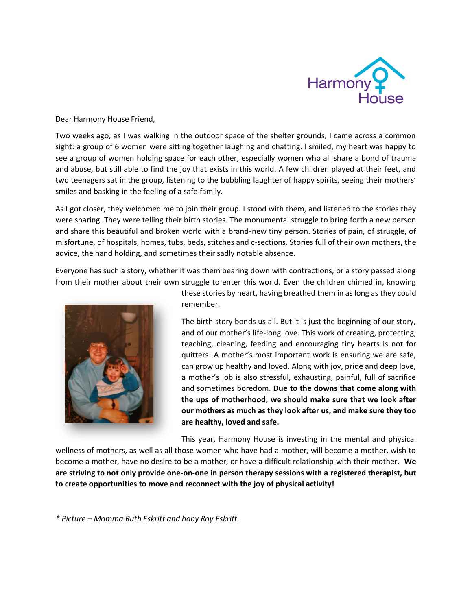

Dear Harmony House Friend,

Two weeks ago, as I was walking in the outdoor space of the shelter grounds, I came across a common sight: a group of 6 women were sitting together laughing and chatting. I smiled, my heart was happy to see a group of women holding space for each other, especially women who all share a bond of trauma and abuse, but still able to find the joy that exists in this world. A few children played at their feet, and two teenagers sat in the group, listening to the bubbling laughter of happy spirits, seeing their mothers' smiles and basking in the feeling of a safe family.

As I got closer, they welcomed me to join their group. I stood with them, and listened to the stories they were sharing. They were telling their birth stories. The monumental struggle to bring forth a new person and share this beautiful and broken world with a brand-new tiny person. Stories of pain, of struggle, of misfortune, of hospitals, homes, tubs, beds, stitches and c-sections. Stories full of their own mothers, the advice, the hand holding, and sometimes their sadly notable absence.

Everyone has such a story, whether it was them bearing down with contractions, or a story passed along from their mother about their own struggle to enter this world. Even the children chimed in, knowing



these stories by heart, having breathed them in as long as they could remember.

The birth story bonds us all. But it is just the beginning of our story, and of our mother's life-long love. This work of creating, protecting, teaching, cleaning, feeding and encouraging tiny hearts is not for quitters! A mother's most important work is ensuring we are safe, can grow up healthy and loved. Along with joy, pride and deep love, a mother's job is also stressful, exhausting, painful, full of sacrifice and sometimes boredom. **Due to the downs that come along with the ups of motherhood, we should make sure that we look after our mothers as much as they look after us, and make sure they too are healthy, loved and safe.**

This year, Harmony House is investing in the mental and physical

wellness of mothers, as well as all those women who have had a mother, will become a mother, wish to become a mother, have no desire to be a mother, or have a difficult relationship with their mother. **We are striving to not only provide one-on-one in person therapy sessions with a registered therapist, but to create opportunities to move and reconnect with the joy of physical activity!** 

*\* Picture – Momma Ruth Eskritt and baby Ray Eskritt.*